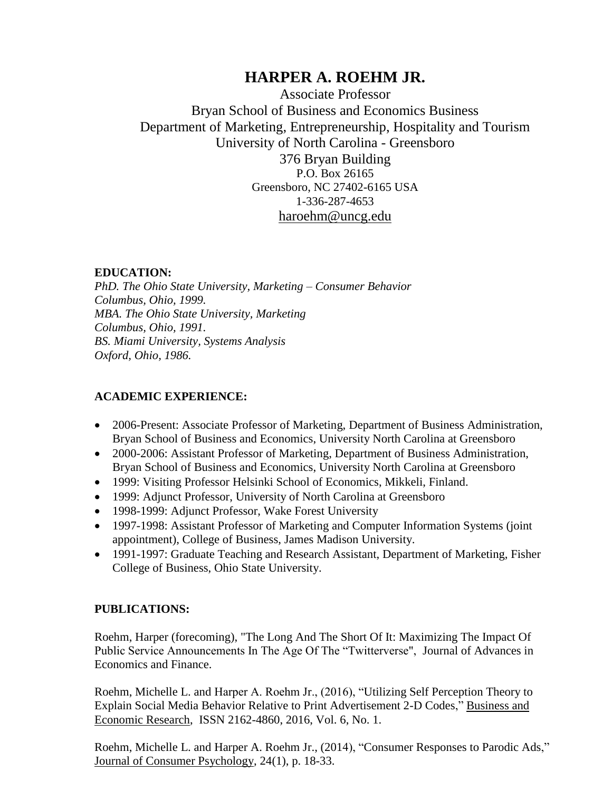# **HARPER A. ROEHM JR.**

Associate Professor Bryan School of Business and Economics Business Department of Marketing, Entrepreneurship, Hospitality and Tourism University of North Carolina - Greensboro 376 Bryan Building P.O. Box 26165 Greensboro, NC 27402-6165 USA 1-336-287-4653 [haroehm@uncg.edu](mailto:Harper.Roehm@mba.wfu.edu)

## **EDUCATION:**

*PhD. The Ohio State University, Marketing – Consumer Behavior Columbus, Ohio, 1999. MBA. The Ohio State University, Marketing Columbus, Ohio, 1991. BS. Miami University, Systems Analysis Oxford, Ohio, 1986.*

# **ACADEMIC EXPERIENCE:**

- 2006-Present: Associate Professor of Marketing, Department of Business Administration, Bryan School of Business and Economics, University North Carolina at Greensboro
- 2000-2006: Assistant Professor of Marketing, Department of Business Administration, Bryan School of Business and Economics, University North Carolina at Greensboro
- 1999: Visiting Professor Helsinki School of Economics, Mikkeli, Finland.
- 1999: Adjunct Professor, University of North Carolina at Greensboro
- 1998-1999: Adjunct Professor, Wake Forest University
- 1997-1998: Assistant Professor of Marketing and Computer Information Systems (joint) appointment), College of Business, James Madison University.
- 1991-1997: Graduate Teaching and Research Assistant, Department of Marketing, Fisher College of Business, Ohio State University.

# **PUBLICATIONS:**

Roehm, Harper (forecoming), "The Long And The Short Of It: Maximizing The Impact Of Public Service Announcements In The Age Of The "Twitterverse", Journal of Advances in Economics and Finance.

Roehm, Michelle L. and Harper A. Roehm Jr., (2016), "Utilizing Self Perception Theory to Explain Social Media Behavior Relative to Print Advertisement 2-D Codes," Business and Economic Research, ISSN 2162-4860, 2016, Vol. 6, No. 1.

Roehm, Michelle L. and Harper A. Roehm Jr., (2014), "Consumer Responses to Parodic Ads," Journal of Consumer Psychology, 24(1), p. 18-33.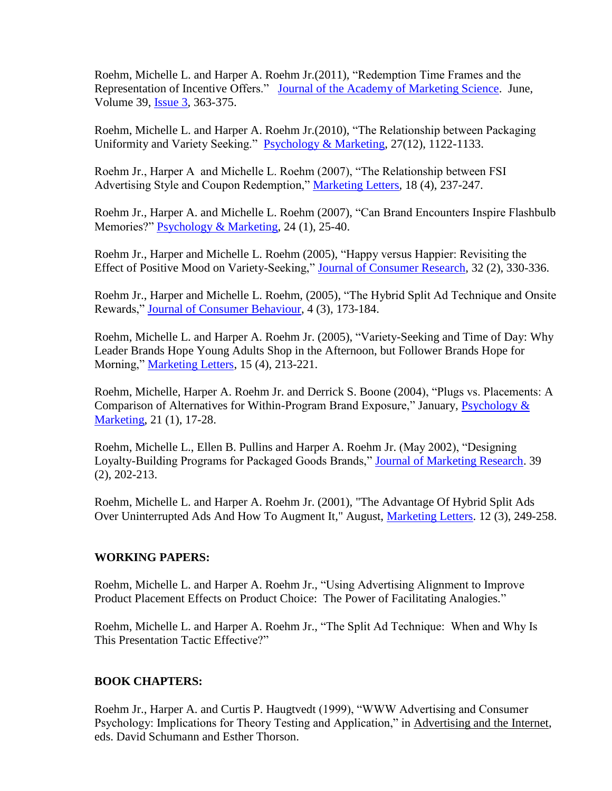Roehm, Michelle L. and Harper A. Roehm Jr.(2011), "Redemption Time Frames and the Representation of Incentive Offers." [Journal of the Academy of Marketing Science.](file:///C:/Documents%20and%20Settings/haroehm/My%20Documents/RoehmData/Service/AnnualReview/Articles/2008/UnderReview/JAMS/Incentives%20and%20Delay%20Oct%202008.doc) June, Volume 39, [Issue 3,](http://link.springer.com/journal/11747/39/3/page/1) 363-375.

Roehm, Michelle L. and Harper A. Roehm Jr.(2010), "The Relationship between Packaging Uniformity and Variety Seeking." [Psychology & Marketing,](file:///C:/Documents%20and%20Settings/haroehm/My%20Documents/RoehmData/Service/AnnualReview/Articles/2008/UnderReview/PackageUniformity&VS_P&M/VS%20and%20Packaging%20Nov%202008.pdf) 27(12), 1122-1133.

Roehm Jr., Harper A and Michelle L. Roehm (2007), "The Relationship between FSI Advertising Style and Coupon Redemption," [Marketing Letters](file:///C:/Documents%20and%20Settings/haroehm/My%20Documents/RoehmData/Service/AnnualReview/Articles/2008/Publications/Roehm%20and%20Roehm%20Coupons%20-%20ML.pdf)*,* 18 (4), 237-247.

Roehm Jr., Harper A. and Michelle L. Roehm (2007), "Can Brand Encounters Inspire Flashbulb Memories?" [Psychology & Marketing,](file:///C:/Documents%20and%20Settings/haroehm/My%20Documents/RoehmData/Service/AnnualReview/Articles/2007/Publications/Roehm%20and%20Roehm%20Flashbulb%20Memory%20-%20PM.pdf) 24 (1), 25-40.

Roehm Jr., Harper and Michelle L. Roehm (2005), "Happy versus Happier: Revisiting the Effect of Positive Mood on Variety-Seeking," [Journal of Consumer Research,](file:///C:/Documents%20and%20Settings/haroehm/My%20Documents/RoehmData/Service/AnnualReview/Articles/2008/Roehm%20and%20Roehm%20Variety%20Seeking%20-%20JCR.pdf) 32 (2), 330-336.

Roehm Jr., Harper and Michelle L. Roehm, (2005), "The Hybrid Split Ad Technique and Onsite Rewards," [Journal of Consumer Behaviour,](file:///C:/Documents%20and%20Settings/haroehm/My%20Documents/RoehmData/Service/AnnualReview/Articles/2008/Roehm%20and%20Roehm%20Onsite%20Rewards%20-%20JCB.pdf) 4 (3), 173-184.

Roehm, Michelle L. and Harper A. Roehm Jr. (2005), "Variety-Seeking and Time of Day: Why Leader Brands Hope Young Adults Shop in the Afternoon, but Follower Brands Hope for Morning," [Marketing Letters,](file:///C:/Documents%20and%20Settings/haroehm/My%20Documents/RoehmData/Service/AnnualReview/Articles/2008/Roehm%20and%20Roehm%20VS%20-%20ML.pdf) 15 (4), 213-221.

Roehm, Michelle, Harper A. Roehm Jr. and Derrick S. Boone (2004), "Plugs vs. Placements: A Comparison of Alternatives for Within-Program Brand Exposure," January, [Psychology &](file:///C:/Documents%20and%20Settings/haroehm/My%20Documents/RoehmData/Service/AnnualReview/Articles/2008/Roehm%20et%20al%20Plugs%20and%20Placements%20-%20PM.pdf) [Marketing,](file:///C:/Documents%20and%20Settings/haroehm/My%20Documents/RoehmData/Service/AnnualReview/Articles/2008/Roehm%20et%20al%20Plugs%20and%20Placements%20-%20PM.pdf) 21 (1), 17-28.

Roehm, Michelle L., Ellen B. Pullins and Harper A. Roehm Jr. (May 2002), "Designing Loyalty-Building Programs for Packaged Goods Brands," [Journal of Marketing Research.](file:///C:/Documents%20and%20Settings/haroehm/My%20Documents/RoehmData/Service/AnnualReview/Articles/2008/Roehm%20et%20al%20Loyalty%20-%20JMR.pdf) 39 (2), 202-213.

Roehm, Michelle L. and Harper A. Roehm Jr. (2001), "The Advantage Of Hybrid Split Ads Over Uninterrupted Ads And How To Augment It," August, [Marketing Letters.](file:///C:/Documents%20and%20Settings/haroehm/My%20Documents/RoehmData/Service/AnnualReview/Articles/2008/Roehm%20and%20Roehm%20Hybrid%20-%20ML.pdf) 12 (3), 249-258.

#### **WORKING PAPERS:**

Roehm, Michelle L. and Harper A. Roehm Jr., "Using Advertising Alignment to Improve Product Placement Effects on Product Choice: The Power of Facilitating Analogies."

Roehm, Michelle L. and Harper A. Roehm Jr., "The Split Ad Technique: When and Why Is This Presentation Tactic Effective?"

#### **BOOK CHAPTERS:**

Roehm Jr., Harper A. and Curtis P. Haugtvedt (1999), "WWW Advertising and Consumer Psychology: Implications for Theory Testing and Application," in Advertising and the Internet, eds. David Schumann and Esther Thorson.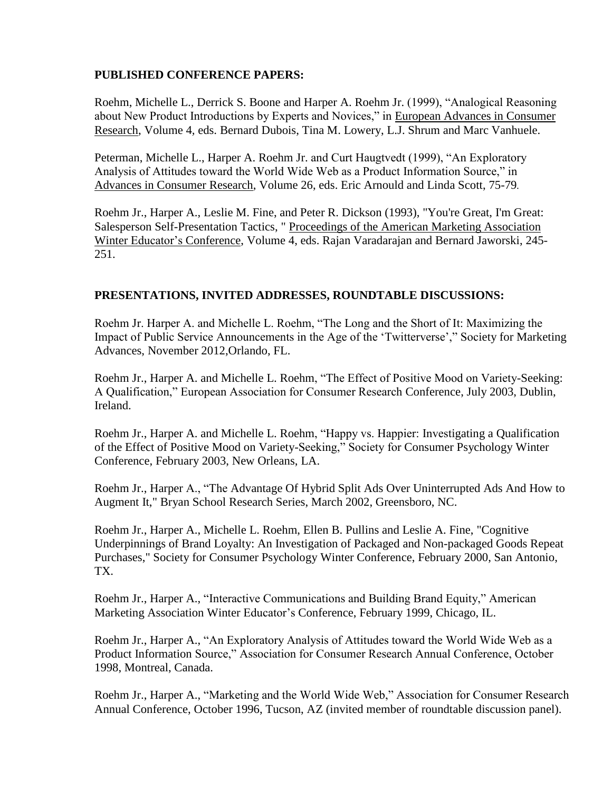#### **PUBLISHED CONFERENCE PAPERS:**

Roehm, Michelle L., Derrick S. Boone and Harper A. Roehm Jr. (1999), "Analogical Reasoning about New Product Introductions by Experts and Novices," in European Advances in Consumer Research, Volume 4*,* eds. Bernard Dubois, Tina M. Lowery, L.J. Shrum and Marc Vanhuele.

Peterman, Michelle L., Harper A. Roehm Jr. and Curt Haugtvedt (1999), "An Exploratory Analysis of Attitudes toward the World Wide Web as a Product Information Source," in Advances in Consumer Research, Volume 26, eds. Eric Arnould and Linda Scott, 75-79*.*

Roehm Jr., Harper A., Leslie M. Fine, and Peter R. Dickson (1993), "You're Great, I'm Great: Salesperson Self-Presentation Tactics, " Proceedings of the American Marketing Association Winter Educator's Conference, Volume 4, eds. Rajan Varadarajan and Bernard Jaworski, 245- 251.

#### **PRESENTATIONS, INVITED ADDRESSES, ROUNDTABLE DISCUSSIONS:**

Roehm Jr. Harper A. and Michelle L. Roehm, "The Long and the Short of It: Maximizing the Impact of Public Service Announcements in the Age of the 'Twitterverse'," Society for Marketing Advances, November 2012,Orlando, FL.

Roehm Jr., Harper A. and Michelle L. Roehm, "The Effect of Positive Mood on Variety-Seeking: A Qualification," European Association for Consumer Research Conference, July 2003, Dublin, Ireland.

Roehm Jr., Harper A. and Michelle L. Roehm, "Happy vs. Happier: Investigating a Qualification of the Effect of Positive Mood on Variety-Seeking," Society for Consumer Psychology Winter Conference, February 2003, New Orleans, LA.

Roehm Jr., Harper A., "The Advantage Of Hybrid Split Ads Over Uninterrupted Ads And How to Augment It," Bryan School Research Series, March 2002, Greensboro, NC.

Roehm Jr., Harper A., Michelle L. Roehm, Ellen B. Pullins and Leslie A. Fine, "Cognitive Underpinnings of Brand Loyalty: An Investigation of Packaged and Non-packaged Goods Repeat Purchases," Society for Consumer Psychology Winter Conference, February 2000, San Antonio, TX.

Roehm Jr., Harper A., "Interactive Communications and Building Brand Equity," American Marketing Association Winter Educator's Conference, February 1999, Chicago, IL.

Roehm Jr., Harper A., "An Exploratory Analysis of Attitudes toward the World Wide Web as a Product Information Source," Association for Consumer Research Annual Conference, October 1998, Montreal, Canada.

Roehm Jr., Harper A., "Marketing and the World Wide Web," Association for Consumer Research Annual Conference, October 1996, Tucson, AZ (invited member of roundtable discussion panel).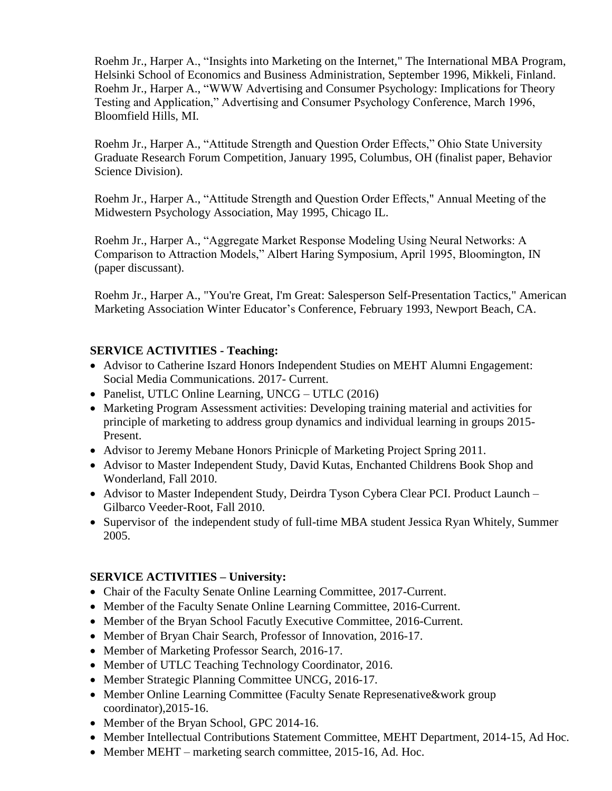Roehm Jr., Harper A., "Insights into Marketing on the Internet," The International MBA Program, Helsinki School of Economics and Business Administration, September 1996, Mikkeli, Finland. Roehm Jr., Harper A., "WWW Advertising and Consumer Psychology: Implications for Theory Testing and Application," Advertising and Consumer Psychology Conference, March 1996, Bloomfield Hills, MI.

Roehm Jr., Harper A., "Attitude Strength and Question Order Effects," Ohio State University Graduate Research Forum Competition, January 1995, Columbus, OH (finalist paper, Behavior Science Division).

Roehm Jr., Harper A., "Attitude Strength and Question Order Effects," Annual Meeting of the Midwestern Psychology Association, May 1995, Chicago IL.

Roehm Jr., Harper A., "Aggregate Market Response Modeling Using Neural Networks: A Comparison to Attraction Models," Albert Haring Symposium, April 1995, Bloomington, IN (paper discussant).

Roehm Jr., Harper A., "You're Great, I'm Great: Salesperson Self-Presentation Tactics," American Marketing Association Winter Educator's Conference, February 1993, Newport Beach, CA.

#### **SERVICE ACTIVITIES - Teaching:**

- Advisor to Catherine Iszard Honors Independent Studies on MEHT Alumni Engagement: Social Media Communications. 2017- Current.
- Panelist, UTLC Online Learning, UNCG UTLC (2016)
- Marketing Program Assessment activities: Developing training material and activities for principle of marketing to address group dynamics and individual learning in groups 2015- Present.
- Advisor to Jeremy Mebane Honors Prinicple of Marketing Project Spring 2011.
- Advisor to Master Independent Study, David Kutas, Enchanted Childrens Book Shop and Wonderland, Fall 2010.
- Advisor to Master Independent Study, Deirdra Tyson Cybera Clear PCI. Product Launch Gilbarco Veeder-Root, Fall 2010.
- Supervisor of the independent study of full-time MBA student Jessica Ryan Whitely, Summer 2005.

#### **SERVICE ACTIVITIES – University:**

- Chair of the Faculty Senate Online Learning Committee, 2017-Current.
- Member of the Faculty Senate Online Learning Committee, 2016-Current.
- Member of the Bryan School Facutly Executive Committee, 2016-Current.
- Member of Bryan Chair Search, Professor of Innovation, 2016-17.
- Member of Marketing Professor Search, 2016-17.
- Member of UTLC Teaching Technology Coordinator, 2016.
- Member Strategic Planning Committee UNCG, 2016-17.
- Member Online Learning Committee (Faculty Senate Represenative & work group coordinator),2015-16.
- Member of the Bryan School, GPC 2014-16.
- Member Intellectual Contributions Statement Committee, MEHT Department, 2014-15, Ad Hoc.
- Member MEHT marketing search committee, 2015-16, Ad. Hoc.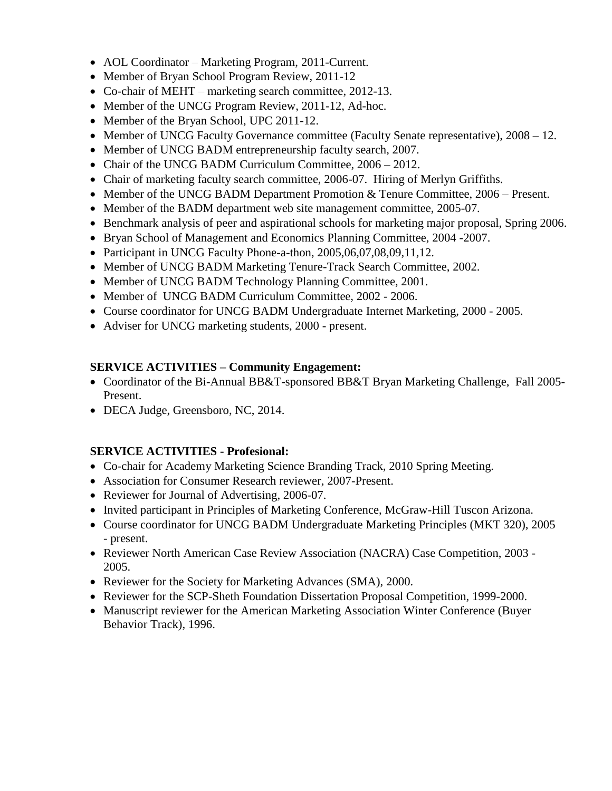- AOL Coordinator Marketing Program, 2011-Current.
- Member of Bryan School Program Review, 2011-12
- Co-chair of MEHT marketing search committee, 2012-13.
- Member of the UNCG Program Review, 2011-12, Ad-hoc.
- Member of the Bryan School, UPC 2011-12.
- Member of UNCG Faculty Governance committee (Faculty Senate representative),  $2008 12$ .
- Member of UNCG BADM entrepreneurship faculty search, 2007.
- Chair of the UNCG BADM Curriculum Committee,  $2006 2012$ .
- Chair of marketing faculty search committee, 2006-07. Hiring of Merlyn Griffiths.
- Member of the UNCG BADM Department Promotion & Tenure Committee, 2006 Present.
- Member of the BADM department web site management committee, 2005-07.
- Benchmark analysis of peer and aspirational schools for marketing major proposal, Spring 2006.
- Bryan School of Management and Economics Planning Committee, 2004 -2007.
- Participant in UNCG Faculty Phone-a-thon, 2005,06,07,08,09,11,12.
- Member of UNCG BADM Marketing Tenure-Track Search Committee, 2002.
- Member of UNCG BADM Technology Planning Committee, 2001.
- Member of UNCG BADM Curriculum Committee, 2002 2006.
- Course coordinator for UNCG BADM Undergraduate Internet Marketing, 2000 2005.
- Adviser for UNCG marketing students, 2000 present.

## **SERVICE ACTIVITIES – Community Engagement:**

- Coordinator of the Bi-Annual BB&T-sponsored BB&T Bryan Marketing Challenge, Fall 2005-Present.
- DECA Judge, Greensboro, NC, 2014.

# **SERVICE ACTIVITIES - Profesional:**

- Co-chair for Academy Marketing Science Branding Track, 2010 Spring Meeting.
- Association for Consumer Research reviewer, 2007-Present.
- Reviewer for Journal of Advertising, 2006-07.
- Invited participant in Principles of Marketing Conference, McGraw-Hill Tuscon Arizona.
- Course coordinator for UNCG BADM Undergraduate Marketing Principles (MKT 320), 2005 - present.
- Reviewer North American Case Review Association (NACRA) Case Competition, 2003 2005.
- Reviewer for the Society for Marketing Advances (SMA), 2000.
- Reviewer for the SCP-Sheth Foundation Dissertation Proposal Competition, 1999-2000.
- Manuscript reviewer for the American Marketing Association Winter Conference (Buyer Behavior Track), 1996.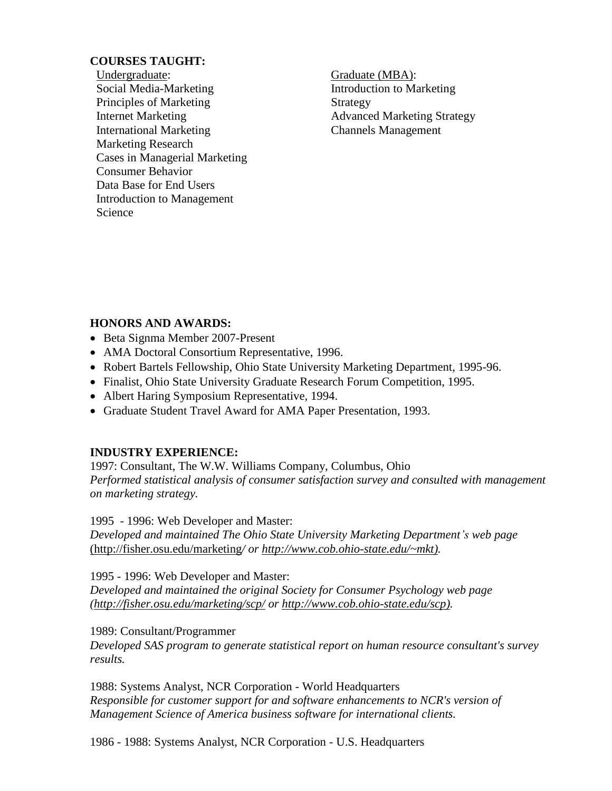#### **COURSES TAUGHT:**

Undergraduate: Social Media-Marketing Principles of Marketing Internet Marketing International Marketing Marketing Research Cases in Managerial Marketing Consumer Behavior Data Base for End Users Introduction to Management Science

Graduate (MBA): Introduction to Marketing Strategy Advanced Marketing Strategy Channels Management

## **HONORS AND AWARDS:**

- Beta Signma Member 2007-Present
- AMA Doctoral Consortium Representative, 1996.
- Robert Bartels Fellowship, Ohio State University Marketing Department, 1995-96.
- Finalist, Ohio State University Graduate Research Forum Competition, 1995.
- Albert Haring Symposium Representative, 1994.
- Graduate Student Travel Award for AMA Paper Presentation, 1993.

#### **INDUSTRY EXPERIENCE:**

1997: Consultant, The W.W. Williams Company, Columbus, Ohio *Performed statistical analysis of consumer satisfaction survey and consulted with management on marketing strategy.*

1995 - 1996: Web Developer and Master:

*Developed and maintained The Ohio State University Marketing Department's web page*  [\(http://fisher.osu.edu/marketing](http://fisher.osu.edu/marketing)*/ or [http://www.cob.ohio-state.edu/~mkt\).](http://www.cob.ohio-state.edu/~mkt))*

1995 - 1996: Web Developer and Master:

*Developed and maintained the original Society for Consumer Psychology web page [\(http://fisher.osu.edu/marketing/scp/](http://fisher.osu.edu/marketing/scp/) or [http://www.cob.ohio-state.edu/scp\).](http://www.cob.ohio-state.edu/scp))*

#### 1989: Consultant/Programmer

*Developed SAS program to generate statistical report on human resource consultant's survey results.*

1988: Systems Analyst, NCR Corporation - World Headquarters *Responsible for customer support for and software enhancements to NCR's version of Management Science of America business software for international clients.*

1986 - 1988: Systems Analyst, NCR Corporation - U.S. Headquarters